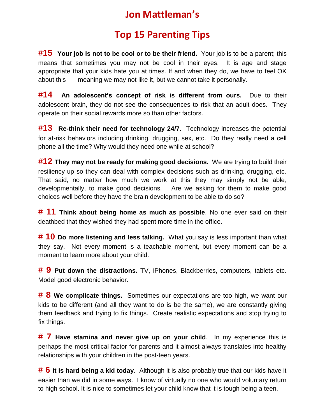# **Jon Mattleman's**

## **Top 15 Parenting Tips**

**#15 Your job is not to be cool or to be their friend.** Your job is to be a parent; this means that sometimes you may not be cool in their eyes. It is age and stage appropriate that your kids hate you at times. If and when they do, we have to feel OK about this ---- meaning we may not like it, but we cannot take it personally.

**#14 An adolescent's concept of risk is different from ours.** Due to their adolescent brain, they do not see the consequences to risk that an adult does. They operate on their social rewards more so than other factors.

**#13 Re-think their need for technology 24/7.** Technology increases the potential for at-risk behaviors including drinking, drugging, sex, etc. Do they really need a cell phone all the time? Why would they need one while at school?

**#12 They may not be ready for making good decisions.** We are trying to build their resiliency up so they can deal with complex decisions such as drinking, drugging, etc. That said, no matter how much we work at this they may simply not be able, developmentally, to make good decisions. Are we asking for them to make good choices well before they have the brain development to be able to do so?

**# 11 Think about being home as much as possible**. No one ever said on their deathbed that they wished they had spent more time in the office.

**# 10 Do more listening and less talking.** What you say is less important than what they say. Not every moment is a teachable moment, but every moment can be a moment to learn more about your child.

**# 9 Put down the distractions.** TV, iPhones, Blackberries, computers, tablets etc. Model good electronic behavior.

**# 8 We complicate things.** Sometimes our expectations are too high, we want our kids to be different (and all they want to do is be the same), we are constantly giving them feedback and trying to fix things. Create realistic expectations and stop trying to fix things.

**# 7 Have stamina and never give up on your child**. In my experience this is perhaps the most critical factor for parents and it almost always translates into healthy relationships with your children in the post-teen years.

**# 6 It is hard being a kid today**. Although it is also probably true that our kids have it easier than we did in some ways. I know of virtually no one who would voluntary return to high school. It is nice to sometimes let your child know that it is tough being a teen.